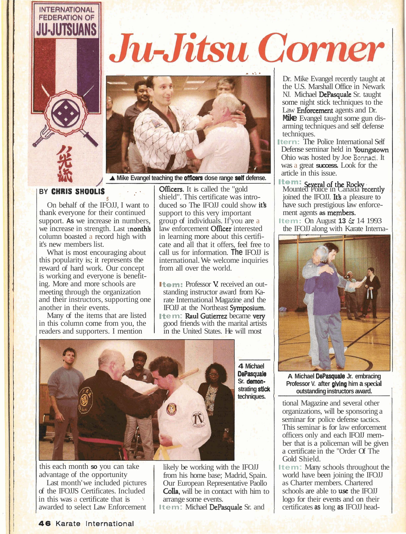

## Ju-Jitsu Corner



A Mike Evangel teaching the **officers** dose range self defense.

## **BY CHRIS SHOOLIS**

**5** *Aq*  On behalf of the IFOJJ, I want to thank everyone for their continued support. **As** we increase in numbers, we increase in strength. Last **month's** column boasted a record high with it's new members list.

What is most encouraging about this popularity is; it represents the reward of hard work. Our concept is working and everyone is benefit- ing. More and more schools are meeting through the organization and their instructors, supporting one another in their events.

Many of the items that are listed in this column come from you, the readers and supporters. I mention

**Officers.** It is called the "gold shield". This certificate was introduced so The IFOJJ could show it's support to this very important group of individuals. If'you are a law enforcement **Officer** interested in learning more about this certificate and all that it offers, feel free to call us for information. **The** IFOJJ is international. We welcome inquiries from all over the world.

**Item:** Professor V. received an out-<br>standing instructor award from Karate International Magazine and the IFOJJ at the Northeast Symposium. **It e m: Raul Gutierrez became very** good friends with the marital artists in the United States. He will most



this each month **so** you can take advantage of the opportunity

Last month' we included pictures of the IFOJJS Certificates. Included in this was a certificate that is awarded to select Law Enforcement likely be working with the IFOJJ from his home base; Madrid, Spain. Our European Representative Paollo Colla, will be in contact with him to arrange some events.

**Item** : Michael DePasquale Sr. and

Dr. Mike Evangel recently taught at the U.S. Marshall Office in Newark NJ. Michael DePasquale Sr. taught some night stick techniques to the Law **Enforcement** agents and Dr. **Mike** Evangel taught some gun disarming techniques and self defense techniques.

**Itern:** The Police International Self Defense seminar held in Youngstown Ohio was hosted by Joe **Bonnaci.** It was a great **success.** Look for the

**The m:** Several of the Rocky<br>Mounted Police in Canada recently joined the IFOJJ. It's a pleasure to have such prestigious law enforcement agents **as members.** 

**Item:** On August **13** & 14 1993 the IFOJJ along with Karate Interna-



**A Michael DePasquale Jr. embracing Professor V. after giving him a special outstanding instructors award.** 

I

tional Magazine and several other organizations, will be sponsoring a seminar for police defense tactics. This seminar is for law enforcement officers only and each IFOJJ member that is a policeman will be given a certificate in the "Order Of The Gold Shield.

**Item:** Many schools throughout the world have been joining the IFOJJ as Charter members. Chartered schools are able to use the IFOJJ logo for their events and on their certificates **as** long **as** IFOJJ head-